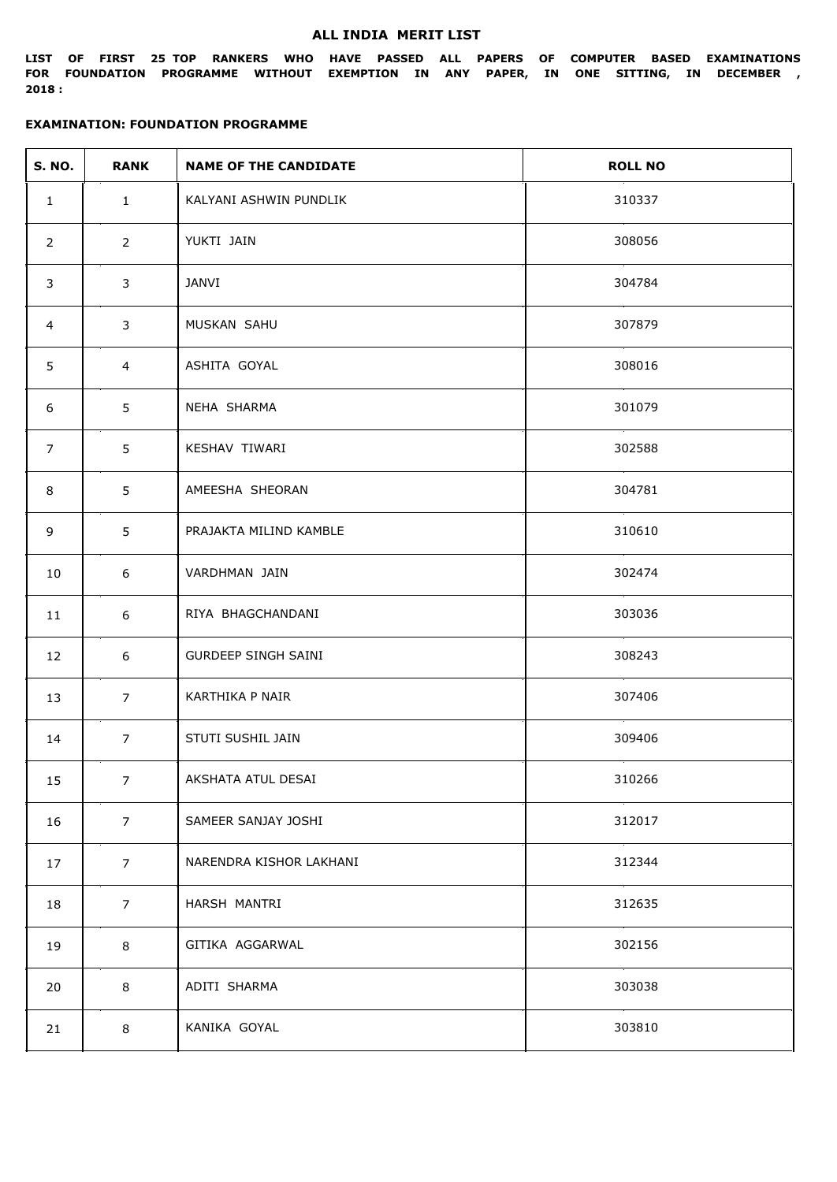#### **ALL INDIA MERIT LIST**

**LIST OF FIRST 25 TOP RANKERS WHO HAVE PASSED ALL PAPERS OF COMPUTER BASED EXAMINATIONS FOR FOUNDATION PROGRAMME WITHOUT EXEMPTION IN ANY PAPER, IN ONE SITTING, IN DECEMBER , 2018 :**

| <b>S. NO.</b>  | <b>RANK</b>    | <b>NAME OF THE CANDIDATE</b> | <b>ROLL NO</b> |
|----------------|----------------|------------------------------|----------------|
| $\mathbf{1}$   | $\mathbf{1}$   | KALYANI ASHWIN PUNDLIK       | 310337         |
| $\overline{2}$ | $2^{\circ}$    | YUKTI JAIN                   | 308056         |
| $\mathbf{3}$   | 3              | JANVI                        | 304784         |
| 4              | 3              | MUSKAN SAHU                  | 307879         |
| 5              | $\overline{4}$ | ASHITA GOYAL                 | 308016         |
| 6              | 5              | NEHA SHARMA                  | 301079         |
| $\overline{7}$ | 5              | KESHAV TIWARI                | 302588         |
| 8              | 5              | AMEESHA SHEORAN              | 304781         |
| 9              | 5              | PRAJAKTA MILIND KAMBLE       | 310610         |
| 10             | 6              | VARDHMAN JAIN                | 302474         |
| 11             | 6              | RIYA BHAGCHANDANI            | 303036         |
| 12             | 6              | <b>GURDEEP SINGH SAINI</b>   | 308243         |
| 13             | $\overline{7}$ | KARTHIKA P NAIR              | 307406         |
| 14             | 7 <sup>7</sup> | STUTI SUSHIL JAIN            | 309406         |
| 15             | 7 <sup>7</sup> | AKSHATA ATUL DESAI           | 310266         |
| 16             | $\overline{7}$ | SAMEER SANJAY JOSHI          | 312017         |
| 17             | 7 <sup>7</sup> | NARENDRA KISHOR LAKHANI      | 312344         |
| 18             | $\overline{7}$ | HARSH MANTRI                 | 312635         |
| 19             | 8              | GITIKA AGGARWAL              | 302156         |
| 20             | 8              | ADITI SHARMA                 | 303038         |
| 21             | 8              | KANIKA GOYAL                 | 303810         |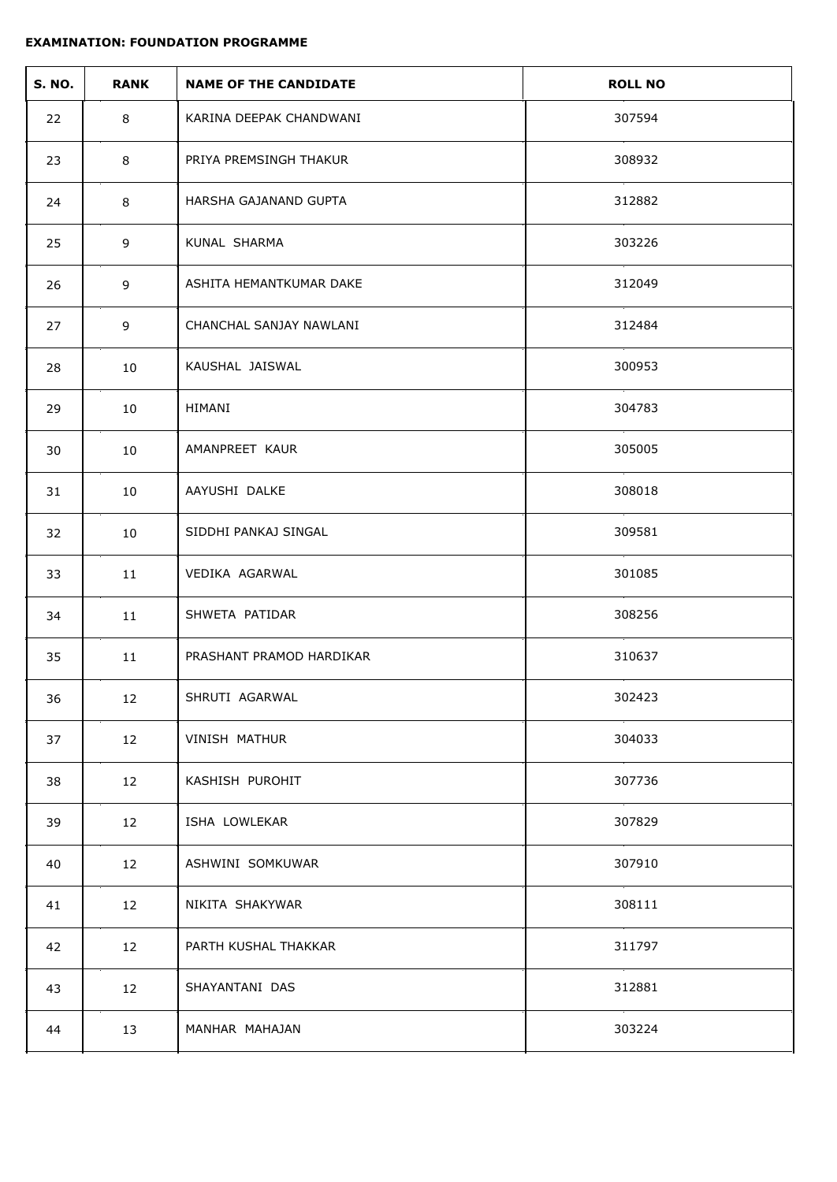| <b>S. NO.</b> | <b>RANK</b> | <b>NAME OF THE CANDIDATE</b> | <b>ROLL NO</b> |
|---------------|-------------|------------------------------|----------------|
| 22            | 8           | KARINA DEEPAK CHANDWANI      | 307594         |
| 23            | 8           | PRIYA PREMSINGH THAKUR       | 308932         |
| 24            | 8           | HARSHA GAJANAND GUPTA        | 312882         |
| 25            | 9           | KUNAL SHARMA                 | 303226         |
| 26            | 9           | ASHITA HEMANTKUMAR DAKE      | 312049         |
| 27            | 9           | CHANCHAL SANJAY NAWLANI      | 312484         |
| 28            | 10          | KAUSHAL JAISWAL              | 300953         |
| 29            | 10          | HIMANI                       | 304783         |
| 30            | 10          | AMANPREET KAUR               | 305005         |
| 31            | 10          | AAYUSHI DALKE                | 308018         |
| 32            | 10          | SIDDHI PANKAJ SINGAL         | 309581         |
| 33            | 11          | VEDIKA AGARWAL               | 301085         |
| 34            | 11          | SHWETA PATIDAR               | 308256         |
| 35            | 11          | PRASHANT PRAMOD HARDIKAR     | 310637         |
| 36            | 12          | SHRUTI AGARWAL               | 302423         |
| 37            | 12          | VINISH MATHUR                | 304033         |
| 38            | 12          | KASHISH PUROHIT              | 307736         |
| 39            | 12          | ISHA LOWLEKAR                | 307829         |
| 40            | 12          | ASHWINI SOMKUWAR             | 307910         |
| 41            | 12          | NIKITA SHAKYWAR              | 308111         |
| 42            | 12          | PARTH KUSHAL THAKKAR         | 311797         |
| 43            | 12          | SHAYANTANI DAS               | 312881         |
| 44            | 13          | MANHAR MAHAJAN               | 303224         |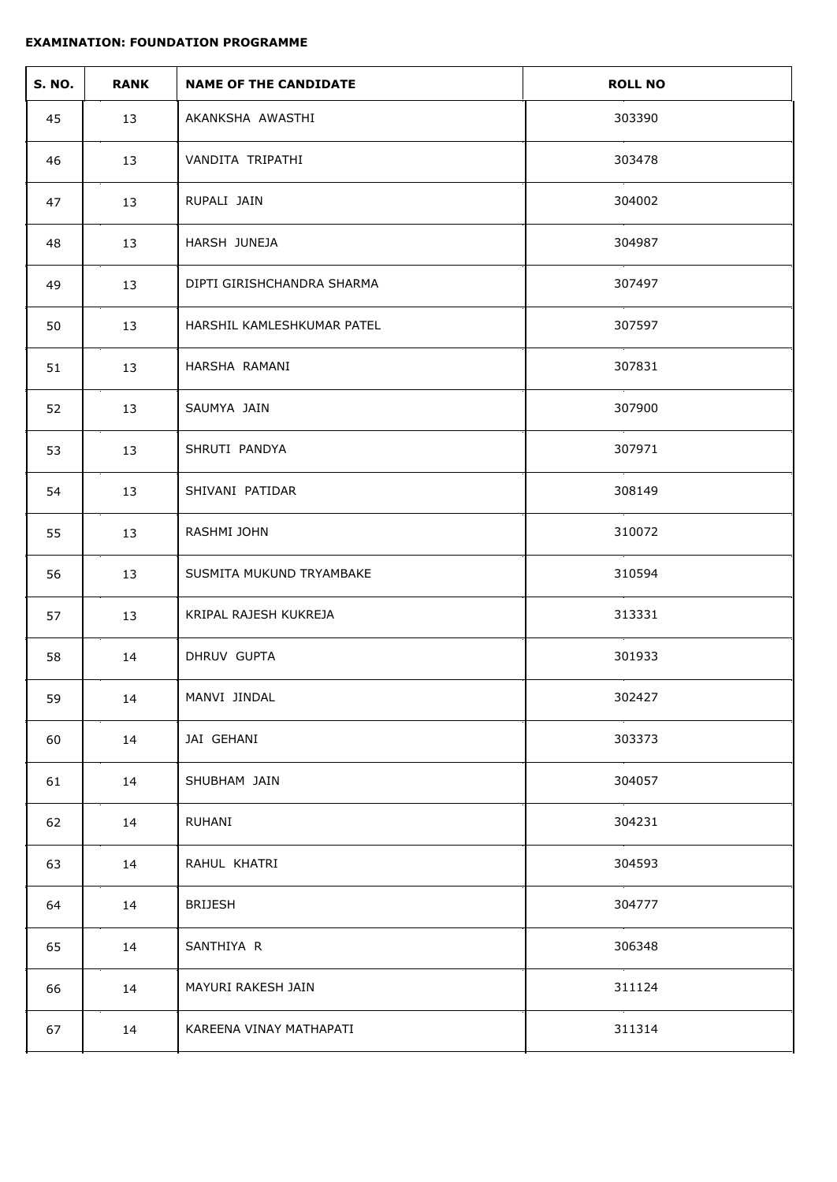| <b>S. NO.</b> | <b>RANK</b> | <b>NAME OF THE CANDIDATE</b> | <b>ROLL NO</b> |
|---------------|-------------|------------------------------|----------------|
| 45            | 13          | AKANKSHA AWASTHI             | 303390         |
| 46            | 13          | VANDITA TRIPATHI             | 303478         |
| 47            | 13          | RUPALI JAIN                  | 304002         |
| 48            | 13          | HARSH JUNEJA                 | 304987         |
| 49            | 13          | DIPTI GIRISHCHANDRA SHARMA   | 307497         |
| 50            | 13          | HARSHIL KAMLESHKUMAR PATEL   | 307597         |
| 51            | 13          | HARSHA RAMANI                | 307831         |
| 52            | 13          | SAUMYA JAIN                  | 307900         |
| 53            | 13          | SHRUTI PANDYA                | 307971         |
| 54            | 13          | SHIVANI PATIDAR              | 308149         |
| 55            | 13          | RASHMI JOHN                  | 310072         |
| 56            | 13          | SUSMITA MUKUND TRYAMBAKE     | 310594         |
| 57            | 13          | KRIPAL RAJESH KUKREJA        | 313331         |
| 58            | 14          | DHRUV GUPTA                  | 301933         |
| 59            | 14          | MANVI JINDAL                 | 302427         |
| 60            | 14          | JAI GEHANI                   | 303373         |
| 61            | 14          | SHUBHAM JAIN                 | 304057         |
| 62            | 14          | RUHANI                       | 304231         |
| 63            | 14          | RAHUL KHATRI                 | 304593         |
| 64            | 14          | <b>BRIJESH</b>               | 304777         |
| 65            | 14          | SANTHIYA R                   | 306348         |
| 66            | 14          | MAYURI RAKESH JAIN           | 311124         |
| 67            | 14          | KAREENA VINAY MATHAPATI      | 311314         |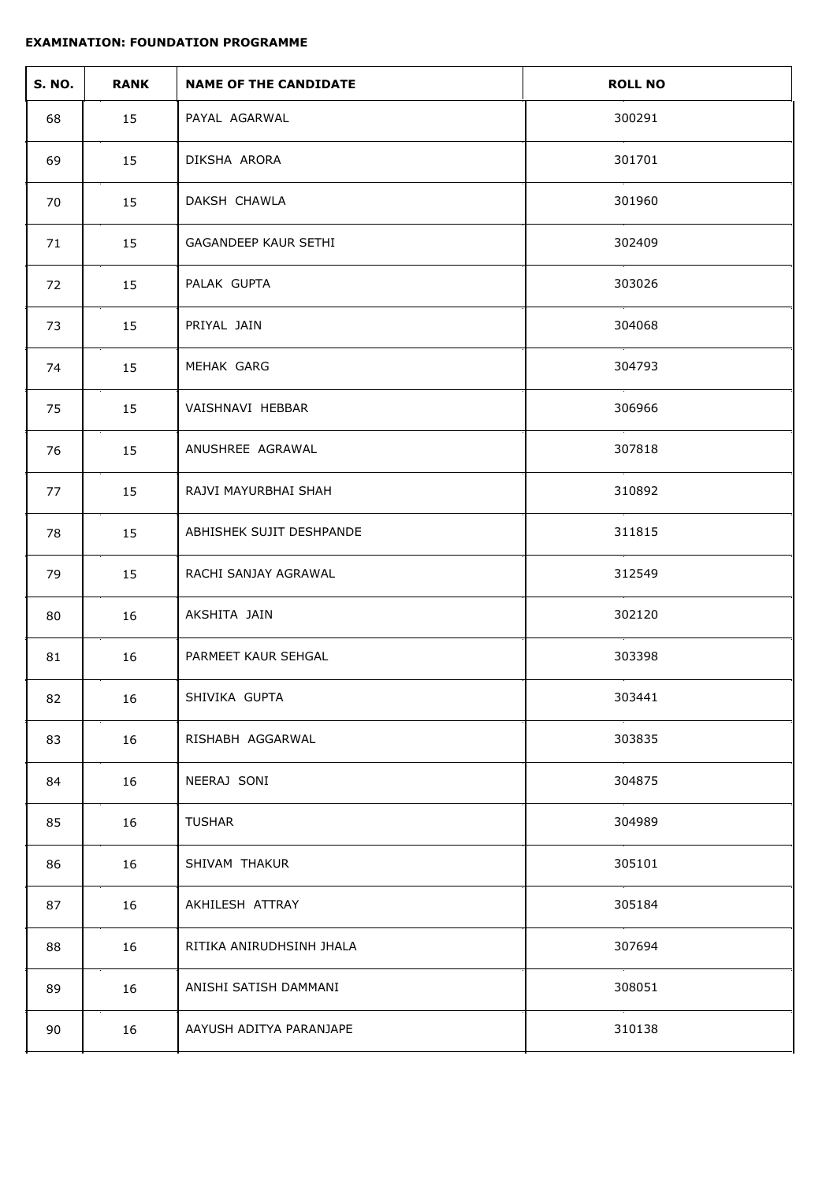| <b>S. NO.</b> | <b>RANK</b> | <b>NAME OF THE CANDIDATE</b> | <b>ROLL NO</b> |
|---------------|-------------|------------------------------|----------------|
| 68            | 15          | PAYAL AGARWAL                | 300291         |
| 69            | 15          | DIKSHA ARORA                 | 301701         |
| 70            | 15          | DAKSH CHAWLA                 | 301960         |
| 71            | 15          | GAGANDEEP KAUR SETHI         | 302409         |
| 72            | 15          | PALAK GUPTA                  | 303026         |
| 73            | 15          | PRIYAL JAIN                  | 304068         |
| 74            | 15          | MEHAK GARG                   | 304793         |
| 75            | 15          | VAISHNAVI HEBBAR             | 306966         |
| 76            | 15          | ANUSHREE AGRAWAL             | 307818         |
| 77            | 15          | RAJVI MAYURBHAI SHAH         | 310892         |
| 78            | 15          | ABHISHEK SUJIT DESHPANDE     | 311815         |
| 79            | 15          | RACHI SANJAY AGRAWAL         | 312549         |
| 80            | 16          | AKSHITA JAIN                 | 302120         |
| 81            | 16          | PARMEET KAUR SEHGAL          | 303398         |
| 82            | 16          | SHIVIKA GUPTA                | 303441         |
| 83            | 16          | RISHABH AGGARWAL             | 303835         |
| 84            | 16          | NEERAJ SONI                  | 304875         |
| 85            | 16          | <b>TUSHAR</b>                | 304989         |
| 86            | 16          | SHIVAM THAKUR                | 305101         |
| 87            | 16          | AKHILESH ATTRAY              | 305184         |
| 88            | 16          | RITIKA ANIRUDHSINH JHALA     | 307694         |
| 89            | 16          | ANISHI SATISH DAMMANI        | 308051         |
| 90            | 16          | AAYUSH ADITYA PARANJAPE      | 310138         |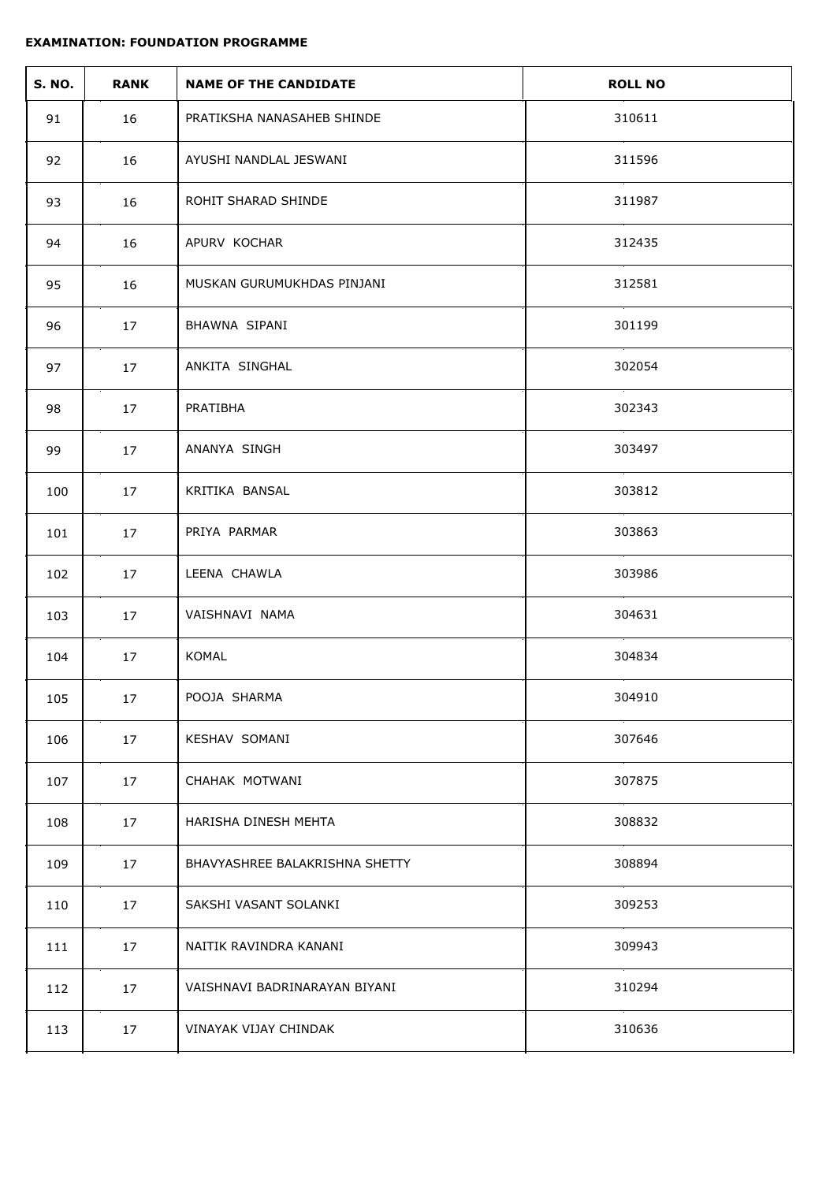| <b>S. NO.</b> | <b>RANK</b> | <b>NAME OF THE CANDIDATE</b>   | <b>ROLL NO</b> |
|---------------|-------------|--------------------------------|----------------|
| 91            | 16          | PRATIKSHA NANASAHEB SHINDE     | 310611         |
| 92            | 16          | AYUSHI NANDLAL JESWANI         | 311596         |
| 93            | 16          | ROHIT SHARAD SHINDE            | 311987         |
| 94            | 16          | APURV KOCHAR                   | 312435         |
| 95            | 16          | MUSKAN GURUMUKHDAS PINJANI     | 312581         |
| 96            | 17          | BHAWNA SIPANI                  | 301199         |
| 97            | 17          | ANKITA SINGHAL                 | 302054         |
| 98            | 17          | PRATIBHA                       | 302343         |
| 99            | 17          | ANANYA SINGH                   | 303497         |
| 100           | 17          | KRITIKA BANSAL                 | 303812         |
| 101           | 17          | PRIYA PARMAR                   | 303863         |
| 102           | 17          | LEENA CHAWLA                   | 303986         |
| 103           | 17          | VAISHNAVI NAMA                 | 304631         |
| 104           | 17          | KOMAL                          | 304834         |
| 105           | $17\,$      | POOJA SHARMA                   | 304910         |
| 106           | 17          | KESHAV SOMANI                  | 307646         |
| 107           | 17          | CHAHAK MOTWANI                 | 307875         |
| 108           | 17          | HARISHA DINESH MEHTA           | 308832         |
| 109           | 17          | BHAVYASHREE BALAKRISHNA SHETTY | 308894         |
| 110           | 17          | SAKSHI VASANT SOLANKI          | 309253         |
| 111           | 17          | NAITIK RAVINDRA KANANI         | 309943         |
| 112           | 17          | VAISHNAVI BADRINARAYAN BIYANI  | 310294         |
| 113           | 17          | VINAYAK VIJAY CHINDAK          | 310636         |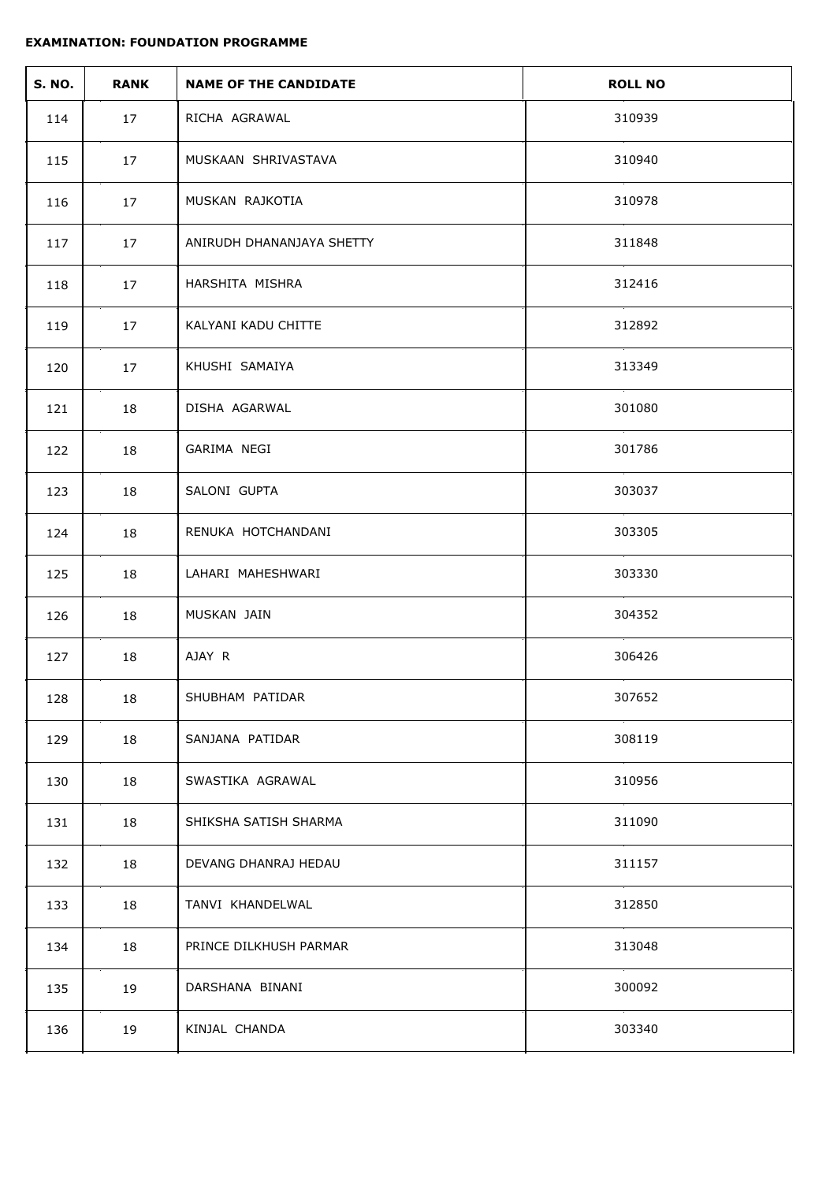| <b>S. NO.</b> | <b>RANK</b> | <b>NAME OF THE CANDIDATE</b> | <b>ROLL NO</b> |
|---------------|-------------|------------------------------|----------------|
| 114           | 17          | RICHA AGRAWAL                | 310939         |
| 115           | 17          | MUSKAAN SHRIVASTAVA          | 310940         |
| 116           | 17          | MUSKAN RAJKOTIA              | 310978         |
| 117           | 17          | ANIRUDH DHANANJAYA SHETTY    | 311848         |
| 118           | 17          | HARSHITA MISHRA              | 312416         |
| 119           | 17          | KALYANI KADU CHITTE          | 312892         |
| 120           | 17          | KHUSHI SAMAIYA               | 313349         |
| 121           | 18          | DISHA AGARWAL                | 301080         |
| 122           | 18          | GARIMA NEGI                  | 301786         |
| 123           | 18          | SALONI GUPTA                 | 303037         |
| 124           | 18          | RENUKA HOTCHANDANI           | 303305         |
| 125           | 18          | LAHARI MAHESHWARI            | 303330         |
| 126           | 18          | MUSKAN JAIN                  | 304352         |
| 127           | 18          | AJAY R                       | 306426         |
| 128           | 18          | SHUBHAM PATIDAR              | 307652         |
| 129           | 18          | SANJANA PATIDAR              | 308119         |
| 130           | 18          | SWASTIKA AGRAWAL             | 310956         |
| 131           | 18          | SHIKSHA SATISH SHARMA        | 311090         |
| 132           | 18          | DEVANG DHANRAJ HEDAU         | 311157         |
| 133           | 18          | TANVI KHANDELWAL             | 312850         |
| 134           | 18          | PRINCE DILKHUSH PARMAR       | 313048         |
| 135           | 19          | DARSHANA BINANI              | 300092         |
| 136           | 19          | KINJAL CHANDA                | 303340         |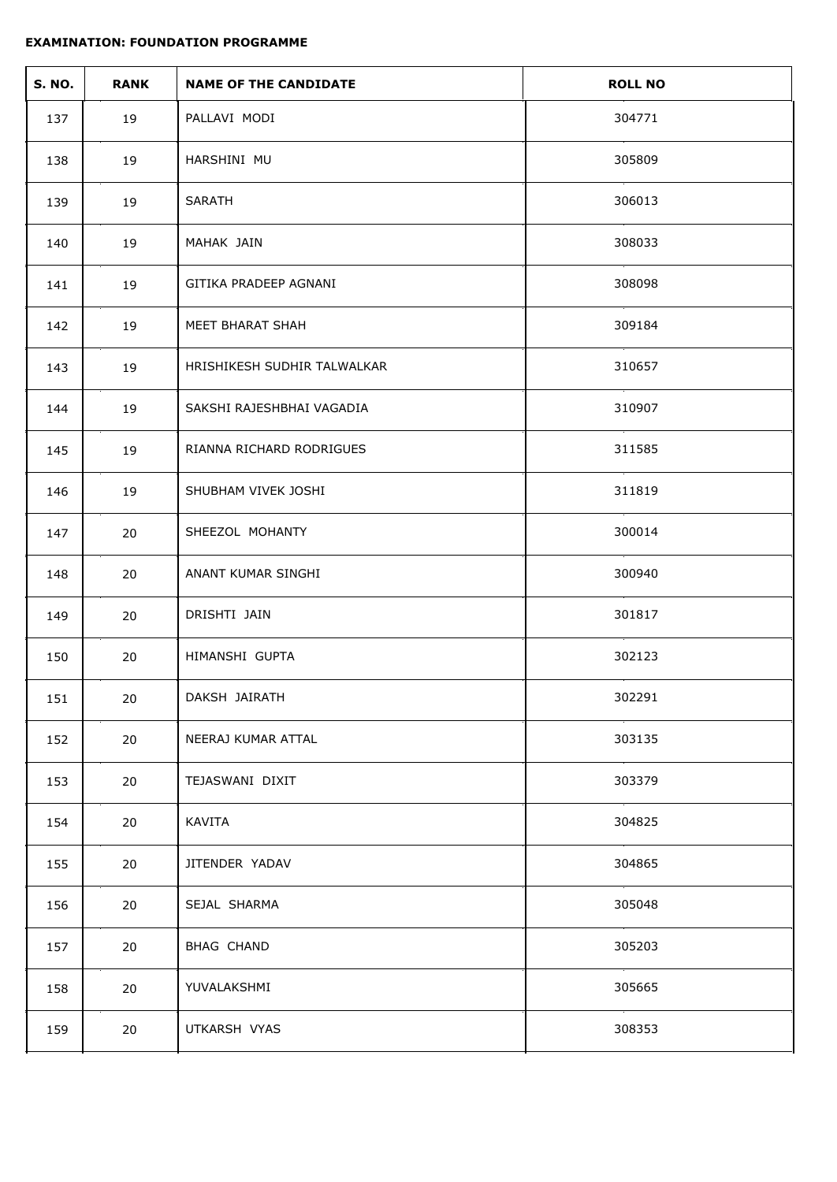| <b>S. NO.</b> | <b>RANK</b> | <b>NAME OF THE CANDIDATE</b> | <b>ROLL NO</b> |
|---------------|-------------|------------------------------|----------------|
| 137           | 19          | PALLAVI MODI                 | 304771         |
| 138           | 19          | HARSHINI MU                  | 305809         |
| 139           | 19          | SARATH                       | 306013         |
| 140           | 19          | MAHAK JAIN                   | 308033         |
| 141           | 19          | GITIKA PRADEEP AGNANI        | 308098         |
| 142           | 19          | MEET BHARAT SHAH             | 309184         |
| 143           | 19          | HRISHIKESH SUDHIR TALWALKAR  | 310657         |
| 144           | 19          | SAKSHI RAJESHBHAI VAGADIA    | 310907         |
| 145           | 19          | RIANNA RICHARD RODRIGUES     | 311585         |
| 146           | 19          | SHUBHAM VIVEK JOSHI          | 311819         |
| 147           | 20          | SHEEZOL MOHANTY              | 300014         |
| 148           | 20          | ANANT KUMAR SINGHI           | 300940         |
| 149           | 20          | DRISHTI JAIN                 | 301817         |
| 150           | 20          | HIMANSHI GUPTA               | 302123         |
| 151           | 20          | DAKSH JAIRATH                | 302291         |
| 152           | 20          | NEERAJ KUMAR ATTAL           | 303135         |
| 153           | 20          | TEJASWANI DIXIT              | 303379         |
| 154           | 20          | KAVITA                       | 304825         |
| 155           | 20          | JITENDER YADAV               | 304865         |
| 156           | 20          | SEJAL SHARMA                 | 305048         |
| 157           | 20          | BHAG CHAND                   | 305203         |
| 158           | 20          | YUVALAKSHMI                  | 305665         |
| 159           | 20          | UTKARSH VYAS                 | 308353         |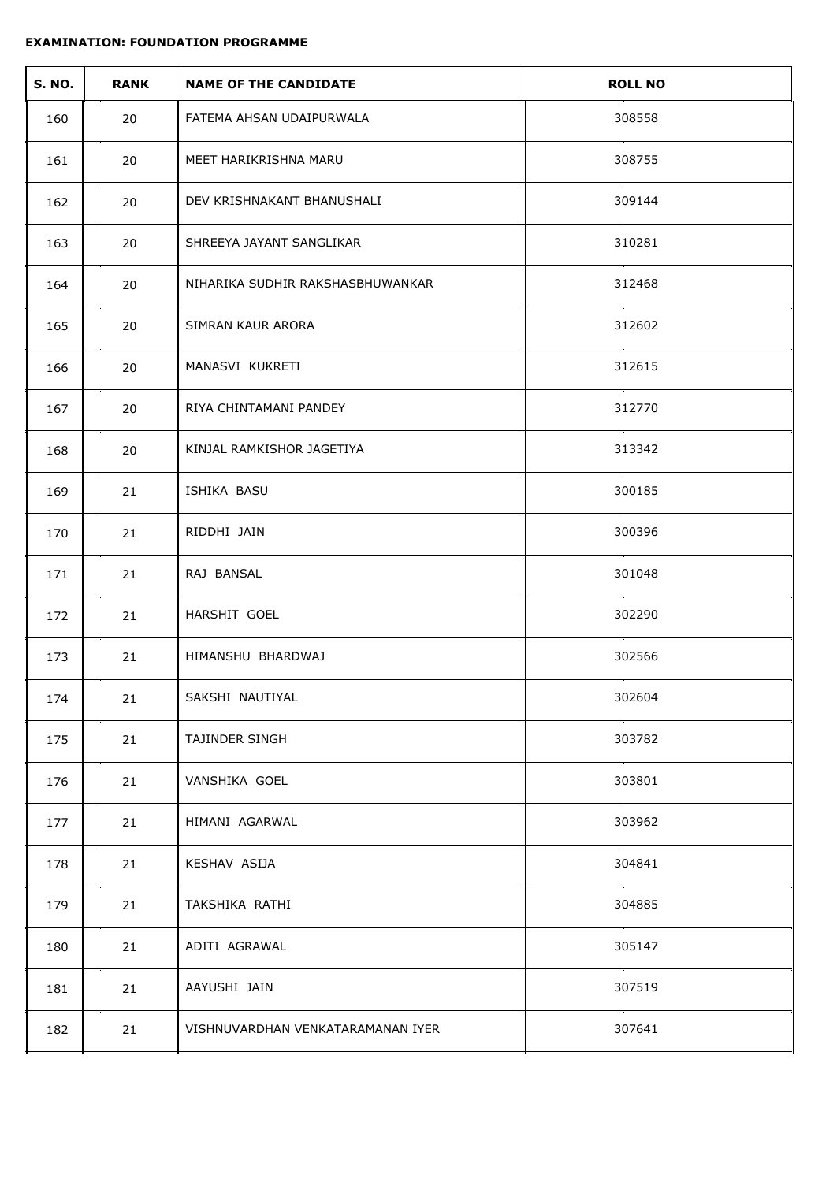| <b>S. NO.</b> | <b>RANK</b> | <b>NAME OF THE CANDIDATE</b>      | <b>ROLL NO</b> |
|---------------|-------------|-----------------------------------|----------------|
| 160           | 20          | FATEMA AHSAN UDAIPURWALA          | 308558         |
| 161           | 20          | MEET HARIKRISHNA MARU             | 308755         |
| 162           | 20          | DEV KRISHNAKANT BHANUSHALI        | 309144         |
| 163           | 20          | SHREEYA JAYANT SANGLIKAR          | 310281         |
| 164           | 20          | NIHARIKA SUDHIR RAKSHASBHUWANKAR  | 312468         |
| 165           | 20          | SIMRAN KAUR ARORA                 | 312602         |
| 166           | 20          | MANASVI KUKRETI                   | 312615         |
| 167           | 20          | RIYA CHINTAMANI PANDEY            | 312770         |
| 168           | 20          | KINJAL RAMKISHOR JAGETIYA         | 313342         |
| 169           | 21          | ISHIKA BASU                       | 300185         |
| 170           | 21          | RIDDHI JAIN                       | 300396         |
| 171           | 21          | RAJ BANSAL                        | 301048         |
| 172           | 21          | HARSHIT GOEL                      | 302290         |
| 173           | 21          | HIMANSHU BHARDWAJ                 | 302566         |
| 174           | 21          | SAKSHI NAUTIYAL                   | 302604         |
| 175           | 21          | TAJINDER SINGH                    | 303782         |
| 176           | 21          | VANSHIKA GOEL                     | 303801         |
| 177           | 21          | HIMANI AGARWAL                    | 303962         |
| 178           | 21          | KESHAV ASIJA                      | 304841         |
| 179           | 21          | TAKSHIKA RATHI                    | 304885         |
| 180           | 21          | ADITI AGRAWAL                     | 305147         |
| 181           | 21          | AAYUSHI JAIN                      | 307519         |
| 182           | 21          | VISHNUVARDHAN VENKATARAMANAN IYER | 307641         |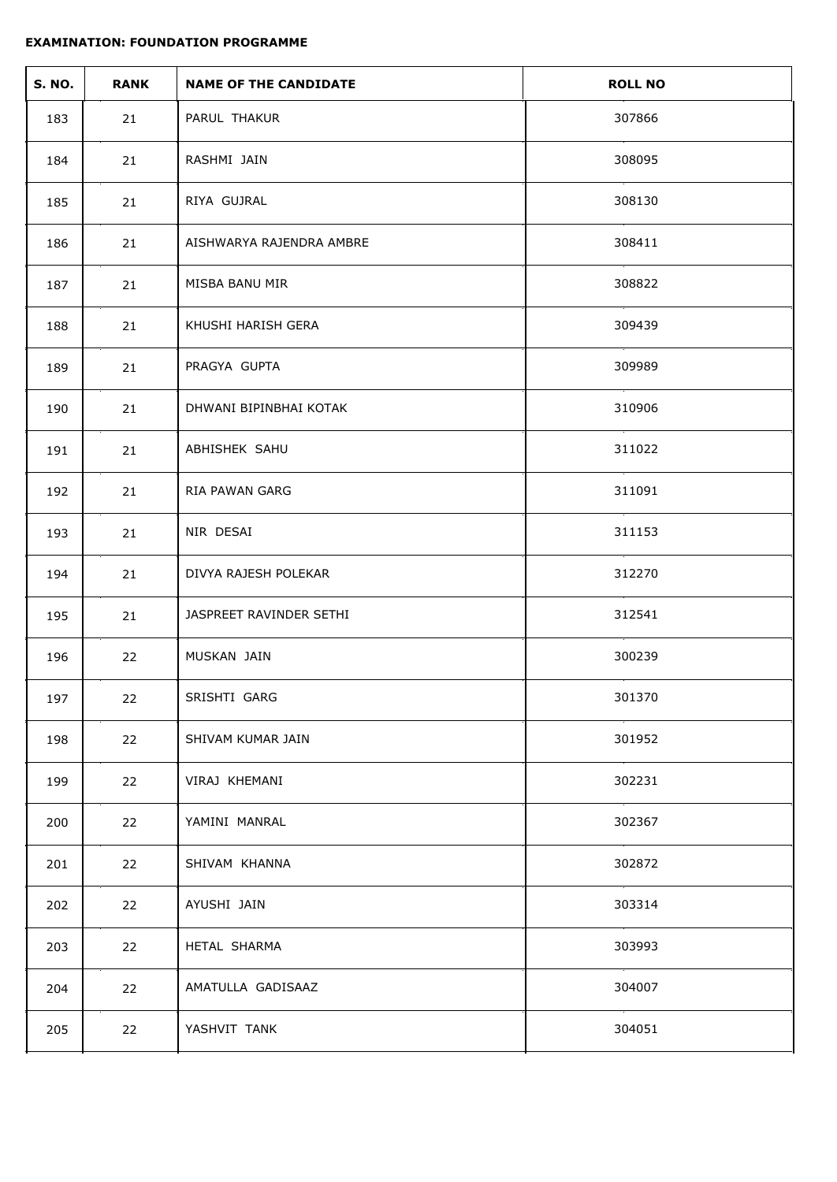| <b>S. NO.</b> | <b>RANK</b> | <b>NAME OF THE CANDIDATE</b> | <b>ROLL NO</b> |
|---------------|-------------|------------------------------|----------------|
| 183           | 21          | PARUL THAKUR                 | 307866         |
| 184           | 21          | RASHMI JAIN                  | 308095         |
| 185           | 21          | RIYA GUJRAL                  | 308130         |
| 186           | 21          | AISHWARYA RAJENDRA AMBRE     | 308411         |
| 187           | 21          | MISBA BANU MIR               | 308822         |
| 188           | 21          | KHUSHI HARISH GERA           | 309439         |
| 189           | 21          | PRAGYA GUPTA                 | 309989         |
| 190           | 21          | DHWANI BIPINBHAI KOTAK       | 310906         |
| 191           | 21          | ABHISHEK SAHU                | 311022         |
| 192           | 21          | <b>RIA PAWAN GARG</b>        | 311091         |
| 193           | 21          | NIR DESAI                    | 311153         |
| 194           | 21          | DIVYA RAJESH POLEKAR         | 312270         |
| 195           | 21          | JASPREET RAVINDER SETHI      | 312541         |
| 196           | 22          | MUSKAN JAIN                  | 300239         |
| 197           | 22          | SRISHTI GARG                 | 301370         |
| 198           | 22          | SHIVAM KUMAR JAIN            | 301952         |
| 199           | 22          | VIRAJ KHEMANI                | 302231         |
| 200           | 22          | YAMINI MANRAL                | 302367         |
| 201           | 22          | SHIVAM KHANNA                | 302872         |
| 202           | 22          | AYUSHI JAIN                  | 303314         |
| 203           | 22          | HETAL SHARMA                 | 303993         |
| 204           | 22          | AMATULLA GADISAAZ            | 304007         |
| 205           | 22          | YASHVIT TANK                 | 304051         |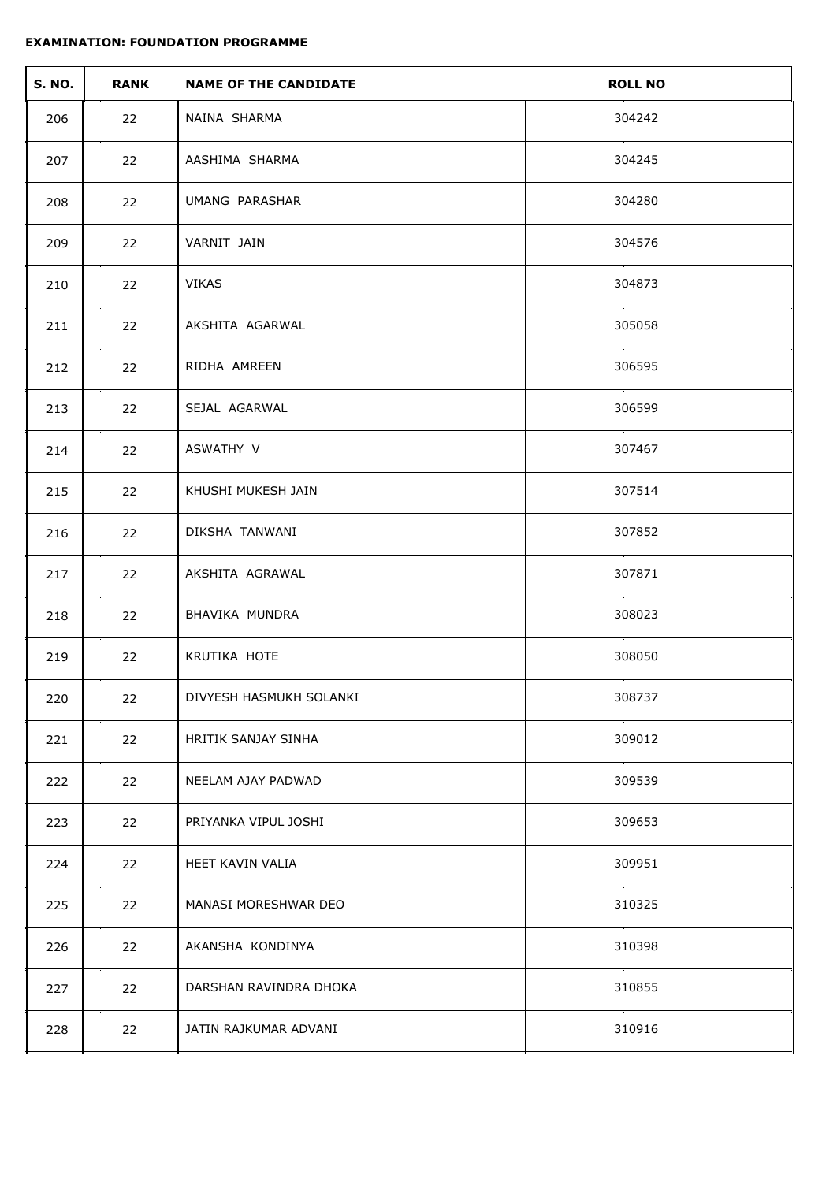| <b>S. NO.</b> | <b>RANK</b> | <b>NAME OF THE CANDIDATE</b> | <b>ROLL NO</b> |
|---------------|-------------|------------------------------|----------------|
| 206           | 22          | NAINA SHARMA                 | 304242         |
| 207           | 22          | AASHIMA SHARMA               | 304245         |
| 208           | 22          | UMANG PARASHAR               | 304280         |
| 209           | 22          | VARNIT JAIN                  | 304576         |
| 210           | 22          | VIKAS                        | 304873         |
| 211           | 22          | AKSHITA AGARWAL              | 305058         |
| 212           | 22          | RIDHA AMREEN                 | 306595         |
| 213           | 22          | SEJAL AGARWAL                | 306599         |
| 214           | 22          | ASWATHY V                    | 307467         |
| 215           | 22          | KHUSHI MUKESH JAIN           | 307514         |
| 216           | 22          | DIKSHA TANWANI               | 307852         |
| 217           | 22          | AKSHITA AGRAWAL              | 307871         |
| 218           | 22          | BHAVIKA MUNDRA               | 308023         |
| 219           | 22          | KRUTIKA HOTE                 | 308050         |
| 220           | 22          | DIVYESH HASMUKH SOLANKI      | 308737         |
| 221           | 22          | HRITIK SANJAY SINHA          | 309012         |
| 222           | 22          | NEELAM AJAY PADWAD           | 309539         |
| 223           | 22          | PRIYANKA VIPUL JOSHI         | 309653         |
| 224           | 22          | HEET KAVIN VALIA             | 309951         |
| 225           | 22          | MANASI MORESHWAR DEO         | 310325         |
| 226           | 22          | AKANSHA KONDINYA             | 310398         |
| 227           | 22          | DARSHAN RAVINDRA DHOKA       | 310855         |
| 228           | 22          | JATIN RAJKUMAR ADVANI        | 310916         |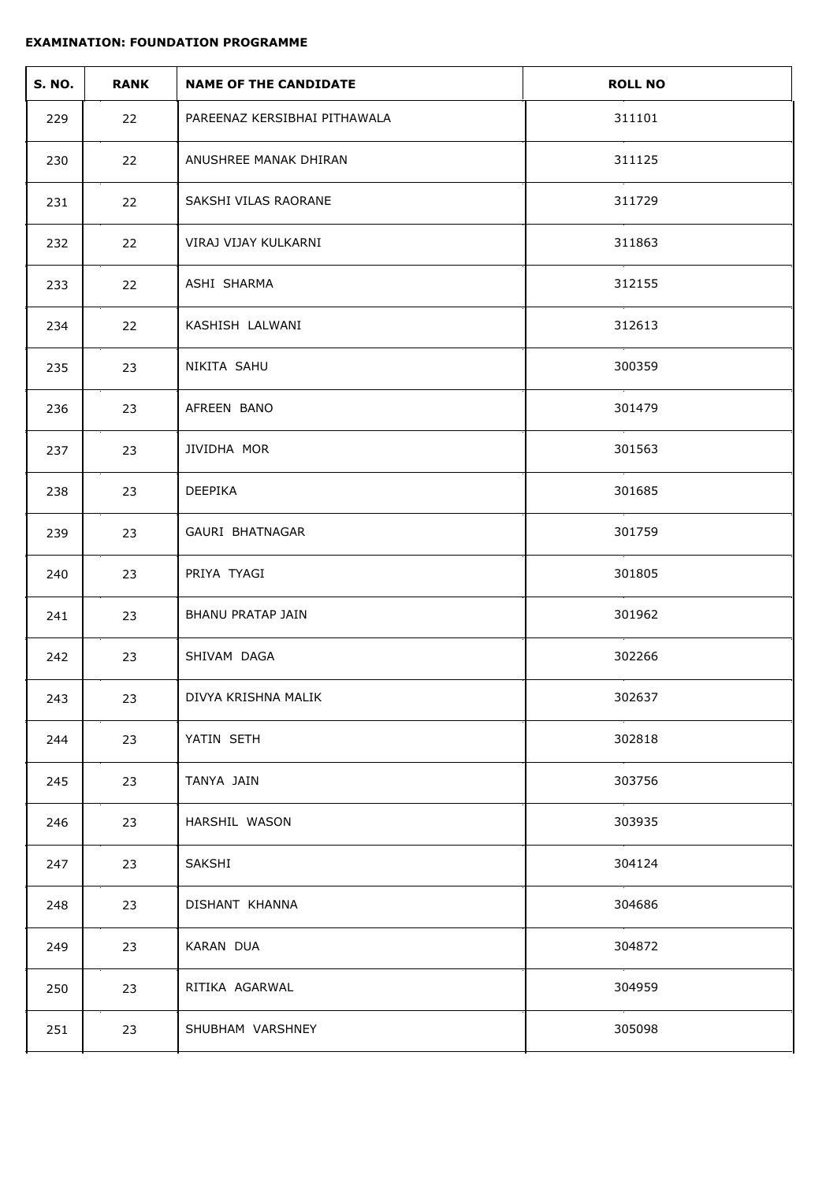| <b>S. NO.</b> | <b>RANK</b> | <b>NAME OF THE CANDIDATE</b> | <b>ROLL NO</b> |
|---------------|-------------|------------------------------|----------------|
| 229           | 22          | PAREENAZ KERSIBHAI PITHAWALA | 311101         |
| 230           | 22          | ANUSHREE MANAK DHIRAN        | 311125         |
| 231           | 22          | SAKSHI VILAS RAORANE         | 311729         |
| 232           | 22          | VIRAJ VIJAY KULKARNI         | 311863         |
| 233           | 22          | ASHI SHARMA                  | 312155         |
| 234           | 22          | KASHISH LALWANI              | 312613         |
| 235           | 23          | NIKITA SAHU                  | 300359         |
| 236           | 23          | AFREEN BANO                  | 301479         |
| 237           | 23          | JIVIDHA MOR                  | 301563         |
| 238           | 23          | DEEPIKA                      | 301685         |
| 239           | 23          | GAURI BHATNAGAR              | 301759         |
| 240           | 23          | PRIYA TYAGI                  | 301805         |
| 241           | 23          | <b>BHANU PRATAP JAIN</b>     | 301962         |
| 242           | 23          | SHIVAM DAGA                  | 302266         |
| 243           | 23          | DIVYA KRISHNA MALIK          | 302637         |
| 244           | 23          | YATIN SETH                   | 302818         |
| 245           | 23          | TANYA JAIN                   | 303756         |
| 246           | 23          | HARSHIL WASON                | 303935         |
| 247           | 23          | SAKSHI                       | 304124         |
| 248           | 23          | DISHANT KHANNA               | 304686         |
| 249           | 23          | KARAN DUA                    | 304872         |
| 250           | 23          | RITIKA AGARWAL               | 304959         |
| 251           | 23          | SHUBHAM VARSHNEY             | 305098         |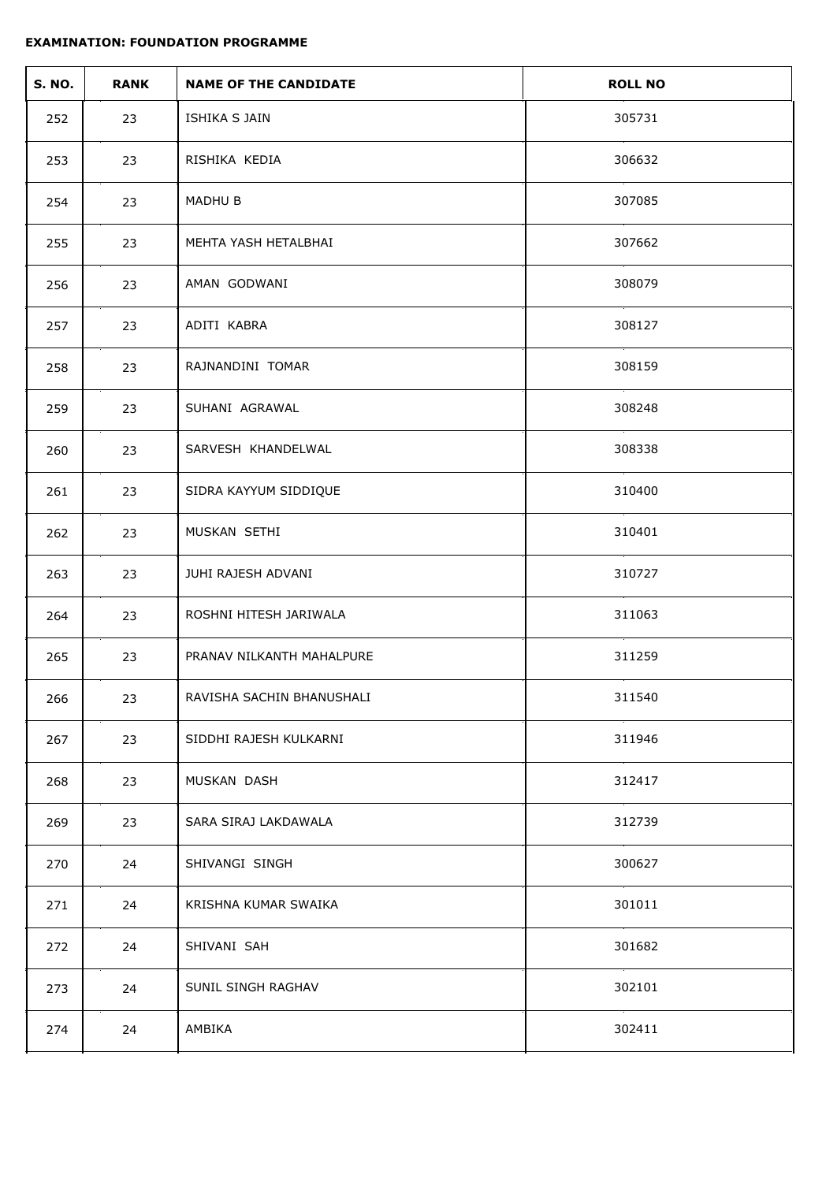| <b>S. NO.</b> | <b>RANK</b> | <b>NAME OF THE CANDIDATE</b> | <b>ROLL NO</b> |
|---------------|-------------|------------------------------|----------------|
| 252           | 23          | ISHIKA S JAIN                | 305731         |
| 253           | 23          | RISHIKA KEDIA                | 306632         |
| 254           | 23          | MADHU B                      | 307085         |
| 255           | 23          | MEHTA YASH HETALBHAI         | 307662         |
| 256           | 23          | AMAN GODWANI                 | 308079         |
| 257           | 23          | ADITI KABRA                  | 308127         |
| 258           | 23          | RAJNANDINI TOMAR             | 308159         |
| 259           | 23          | SUHANI AGRAWAL               | 308248         |
| 260           | 23          | SARVESH KHANDELWAL           | 308338         |
| 261           | 23          | SIDRA KAYYUM SIDDIQUE        | 310400         |
| 262           | 23          | MUSKAN SETHI                 | 310401         |
| 263           | 23          | JUHI RAJESH ADVANI           | 310727         |
| 264           | 23          | ROSHNI HITESH JARIWALA       | 311063         |
| 265           | 23          | PRANAV NILKANTH MAHALPURE    | 311259         |
| 266           | 23          | RAVISHA SACHIN BHANUSHALI    | 311540         |
| 267           | 23          | SIDDHI RAJESH KULKARNI       | 311946         |
| 268           | 23          | MUSKAN DASH                  | 312417         |
| 269           | 23          | SARA SIRAJ LAKDAWALA         | 312739         |
| 270           | 24          | SHIVANGI SINGH               | 300627         |
| 271           | 24          | KRISHNA KUMAR SWAIKA         | 301011         |
| 272           | 24          | SHIVANI SAH                  | 301682         |
| 273           | 24          | SUNIL SINGH RAGHAV           | 302101         |
| 274           | 24          | AMBIKA                       | 302411         |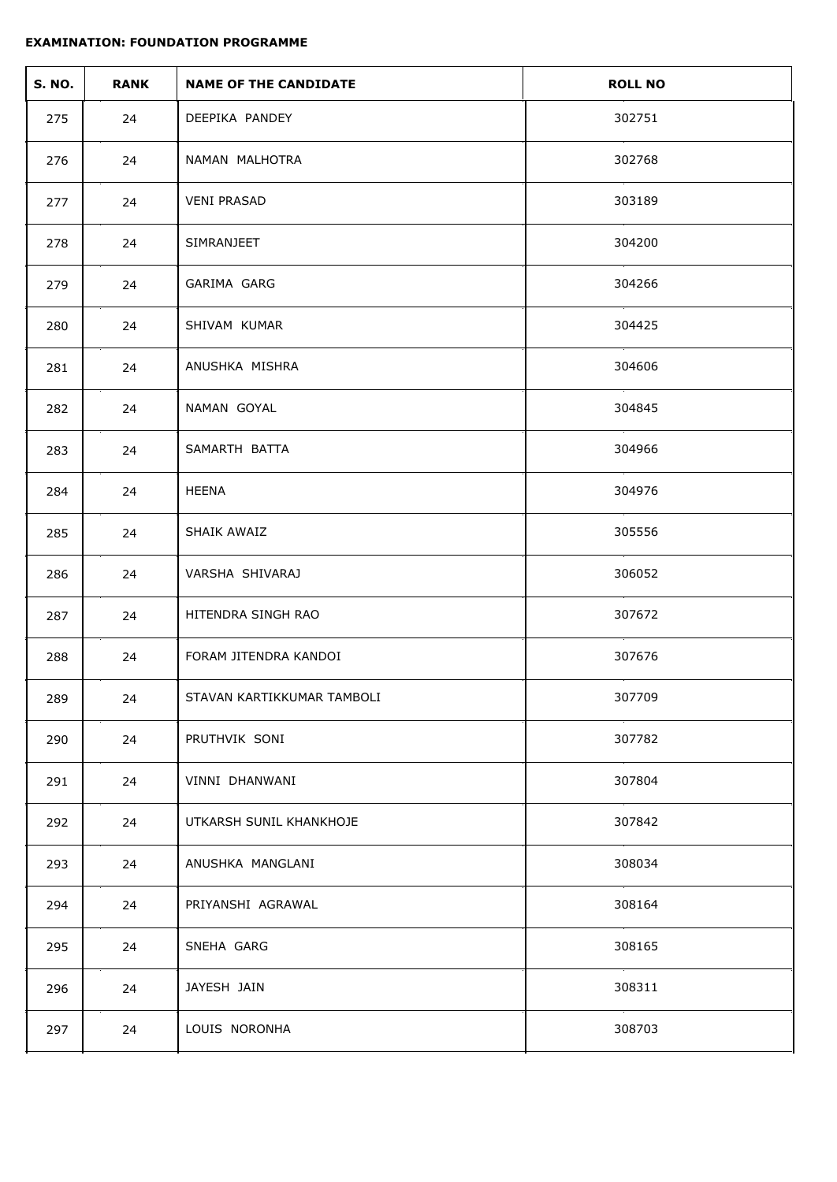| <b>S. NO.</b> | <b>RANK</b> | <b>NAME OF THE CANDIDATE</b> | <b>ROLL NO</b> |
|---------------|-------------|------------------------------|----------------|
| 275           | 24          | DEEPIKA PANDEY               | 302751         |
| 276           | 24          | NAMAN MALHOTRA               | 302768         |
| 277           | 24          | <b>VENI PRASAD</b>           | 303189         |
| 278           | 24          | SIMRANJEET                   | 304200         |
| 279           | 24          | GARIMA GARG                  | 304266         |
| 280           | 24          | SHIVAM KUMAR                 | 304425         |
| 281           | 24          | ANUSHKA MISHRA               | 304606         |
| 282           | 24          | NAMAN GOYAL                  | 304845         |
| 283           | 24          | SAMARTH BATTA                | 304966         |
| 284           | 24          | HEENA                        | 304976         |
| 285           | 24          | SHAIK AWAIZ                  | 305556         |
| 286           | 24          | VARSHA SHIVARAJ              | 306052         |
| 287           | 24          | HITENDRA SINGH RAO           | 307672         |
| 288           | 24          | FORAM JITENDRA KANDOI        | 307676         |
| 289           | 24          | STAVAN KARTIKKUMAR TAMBOLI   | 307709         |
| 290           | 24          | PRUTHVIK SONI                | 307782         |
| 291           | 24          | VINNI DHANWANI               | 307804         |
| 292           | 24          | UTKARSH SUNIL KHANKHOJE      | 307842         |
| 293           | 24          | ANUSHKA MANGLANI             | 308034         |
| 294           | 24          | PRIYANSHI AGRAWAL            | 308164         |
| 295           | 24          | SNEHA GARG                   | 308165         |
| 296           | 24          | JAYESH JAIN                  | 308311         |
| 297           | 24          | LOUIS NORONHA                | 308703         |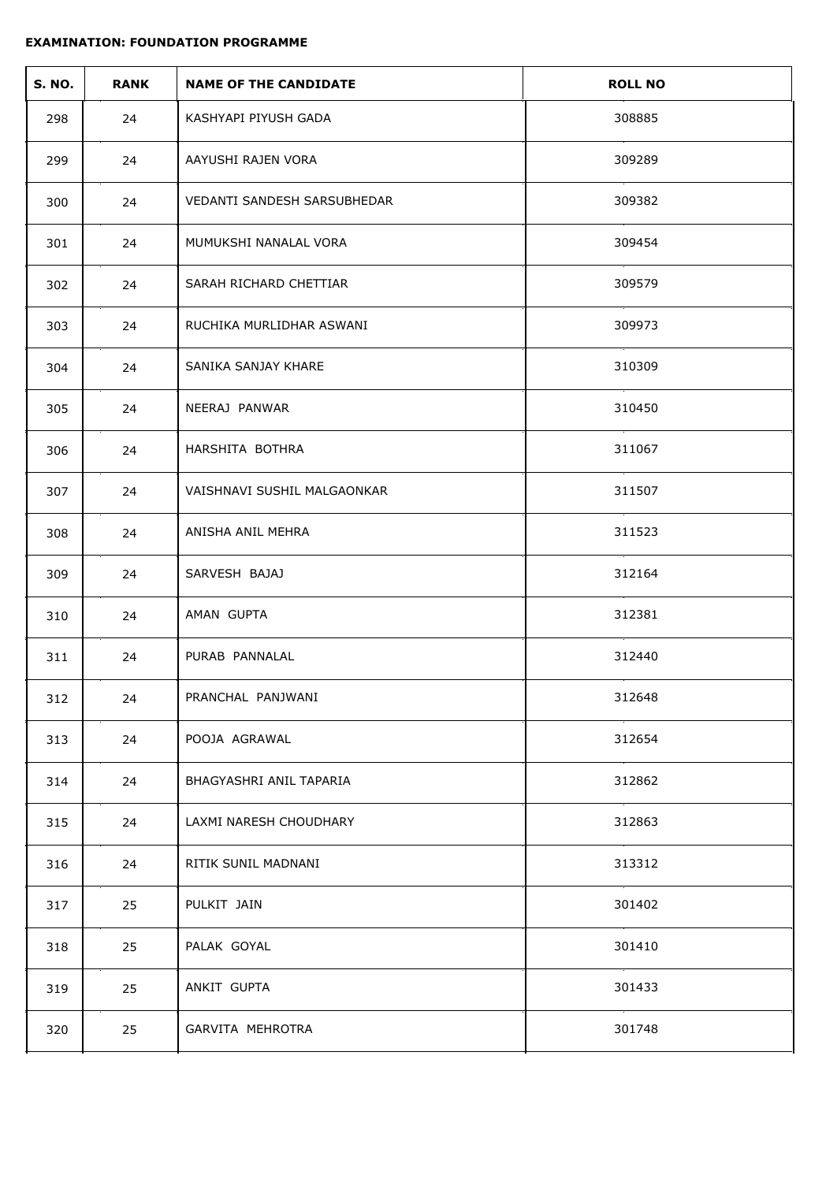| <b>S. NO.</b> | <b>RANK</b> | <b>NAME OF THE CANDIDATE</b> | <b>ROLL NO</b> |
|---------------|-------------|------------------------------|----------------|
| 298           | 24          | KASHYAPI PIYUSH GADA         | 308885         |
| 299           | 24          | AAYUSHI RAJEN VORA           | 309289         |
| 300           | 24          | VEDANTI SANDESH SARSUBHEDAR  | 309382         |
| 301           | 24          | MUMUKSHI NANALAL VORA        | 309454         |
| 302           | 24          | SARAH RICHARD CHETTIAR       | 309579         |
| 303           | 24          | RUCHIKA MURLIDHAR ASWANI     | 309973         |
| 304           | 24          | SANIKA SANJAY KHARE          | 310309         |
| 305           | 24          | NEERAJ PANWAR                | 310450         |
| 306           | 24          | HARSHITA BOTHRA              | 311067         |
| 307           | 24          | VAISHNAVI SUSHIL MALGAONKAR  | 311507         |
| 308           | 24          | ANISHA ANIL MEHRA            | 311523         |
| 309           | 24          | SARVESH BAJAJ                | 312164         |
| 310           | 24          | AMAN GUPTA                   | 312381         |
| 311           | 24          | PURAB PANNALAL               | 312440         |
| 312           | 24          | PRANCHAL PANJWANI            | 312648         |
| 313           | 24          | POOJA AGRAWAL                | 312654         |
| 314           | 24          | BHAGYASHRI ANIL TAPARIA      | 312862         |
| 315           | 24          | LAXMI NARESH CHOUDHARY       | 312863         |
| 316           | 24          | RITIK SUNIL MADNANI          | 313312         |
| 317           | 25          | PULKIT JAIN                  | 301402         |
| 318           | 25          | PALAK GOYAL                  | 301410         |
| 319           | 25          | ANKIT GUPTA                  | 301433         |
| 320           | 25          | GARVITA MEHROTRA             | 301748         |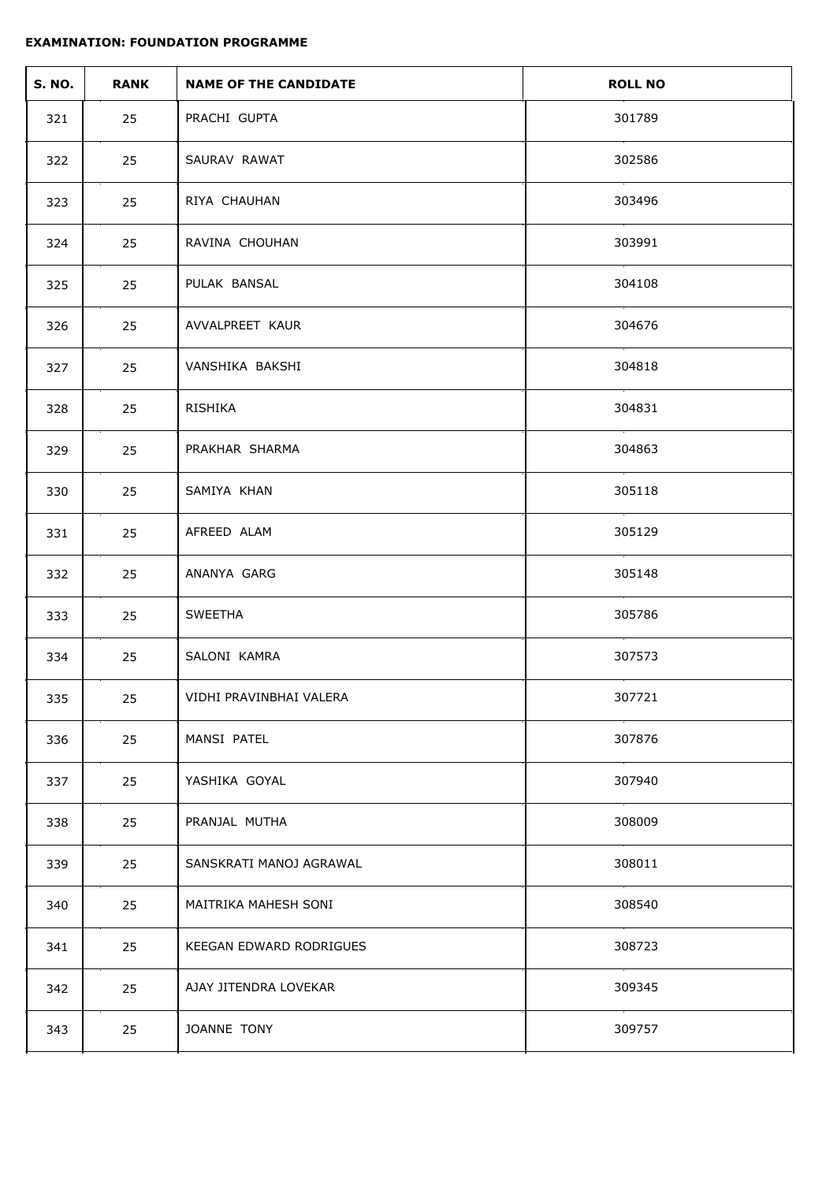| <b>S. NO.</b> | <b>RANK</b> | <b>NAME OF THE CANDIDATE</b> | <b>ROLL NO</b> |
|---------------|-------------|------------------------------|----------------|
| 321           | 25          | PRACHI GUPTA                 | 301789         |
| 322           | 25          | SAURAV RAWAT                 | 302586         |
| 323           | 25          | RIYA CHAUHAN                 | 303496         |
| 324           | 25          | RAVINA CHOUHAN               | 303991         |
| 325           | 25          | PULAK BANSAL                 | 304108         |
| 326           | 25          | AVVALPREET KAUR              | 304676         |
| 327           | 25          | VANSHIKA BAKSHI              | 304818         |
| 328           | 25          | RISHIKA                      | 304831         |
| 329           | 25          | PRAKHAR SHARMA               | 304863         |
| 330           | 25          | SAMIYA KHAN                  | 305118         |
| 331           | 25          | AFREED ALAM                  | 305129         |
| 332           | 25          | ANANYA GARG                  | 305148         |
| 333           | 25          | SWEETHA                      | 305786         |
| 334           | 25          | SALONI KAMRA                 | 307573         |
| 335           | 25          | VIDHI PRAVINBHAI VALERA      | 307721         |
| 336           | 25          | MANSI PATEL                  | 307876         |
| 337           | 25          | YASHIKA GOYAL                | 307940         |
| 338           | 25          | PRANJAL MUTHA                | 308009         |
| 339           | 25          | SANSKRATI MANOJ AGRAWAL      | 308011         |
| 340           | 25          | MAITRIKA MAHESH SONI         | 308540         |
| 341           | 25          | KEEGAN EDWARD RODRIGUES      | 308723         |
| 342           | 25          | AJAY JITENDRA LOVEKAR        | 309345         |
| 343           | 25          | JOANNE TONY                  | 309757         |